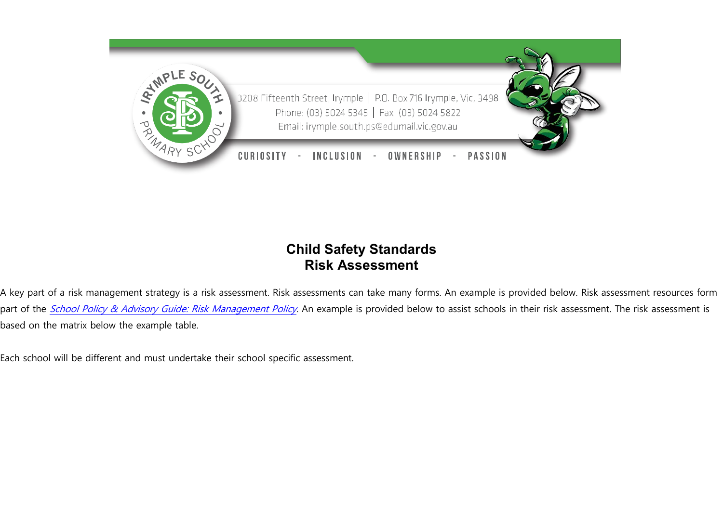

## **Child Safety Standards Risk Assessment**

A key part of a risk management strategy is a risk assessment. Risk assessments can take many forms. An example is provided below. Risk assessment resources form part of the [School Policy & Advisory Guide: Risk Management Policy](http://www.education.vic.gov.au/school/principals/spag/governance/pages/risk.aspx). An example is provided below to assist schools in their risk assessment. The risk assessment is based on the matrix below the example table.

Each school will be different and must undertake their school specific assessment.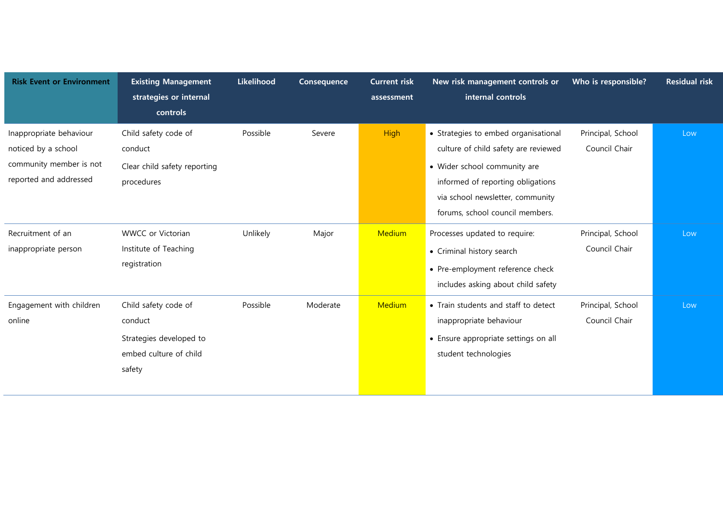| <b>Risk Event or Environment</b>                                                                    | <b>Existing Management</b><br>strategies or internal<br>controls                               | Likelihood | Consequence | <b>Current risk</b><br>assessment | New risk management controls or<br>internal controls                                                                                                                                                                     | Who is responsible?                | <b>Residual risk</b> |
|-----------------------------------------------------------------------------------------------------|------------------------------------------------------------------------------------------------|------------|-------------|-----------------------------------|--------------------------------------------------------------------------------------------------------------------------------------------------------------------------------------------------------------------------|------------------------------------|----------------------|
| Inappropriate behaviour<br>noticed by a school<br>community member is not<br>reported and addressed | Child safety code of<br>conduct<br>Clear child safety reporting<br>procedures                  | Possible   | Severe      | <b>High</b>                       | • Strategies to embed organisational<br>culture of child safety are reviewed<br>• Wider school community are<br>informed of reporting obligations<br>via school newsletter, community<br>forums, school council members. | Principal, School<br>Council Chair | Low                  |
| Recruitment of an<br>inappropriate person                                                           | WWCC or Victorian<br>Institute of Teaching<br>registration                                     | Unlikely   | Major       | Medium                            | Processes updated to require:<br>• Criminal history search<br>• Pre-employment reference check<br>includes asking about child safety                                                                                     | Principal, School<br>Council Chair | Low                  |
| Engagement with children<br>online                                                                  | Child safety code of<br>conduct<br>Strategies developed to<br>embed culture of child<br>safety | Possible   | Moderate    | Medium                            | • Train students and staff to detect<br>inappropriate behaviour<br>• Ensure appropriate settings on all<br>student technologies                                                                                          | Principal, School<br>Council Chair | Low                  |